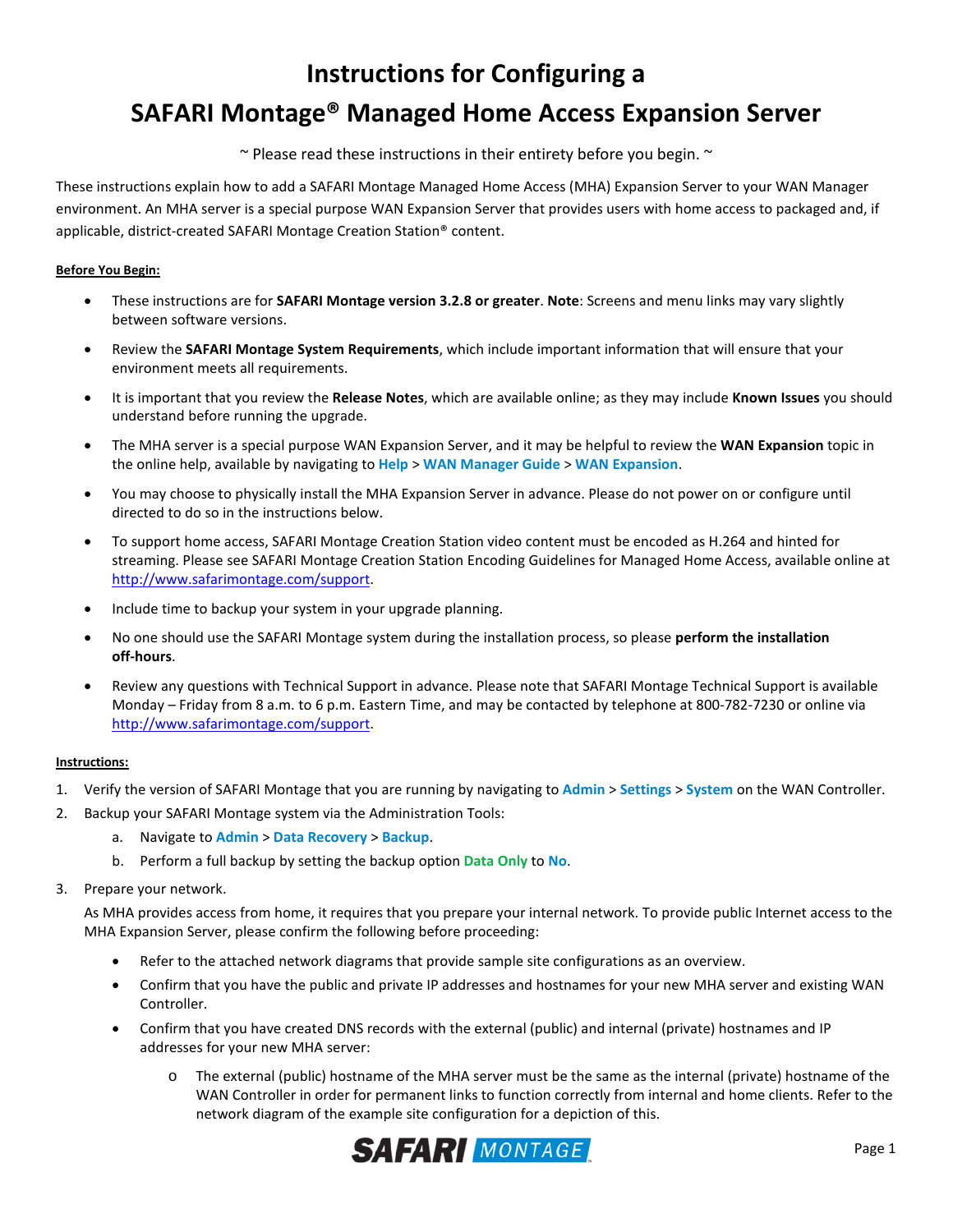# **Instructions for Configuring a SAFARI Montage® Managed Home Access Expansion Server**

 $\sim$  Please read these instructions in their entirety before you begin.  $\sim$ 

These instructions explain how to add a SAFARI Montage Managed Home Access (MHA) Expansion Server to your WAN Manager environment. An MHA server is a special purpose WAN Expansion Server that provides users with home access to packaged and, if applicable, district-created SAFARI Montage Creation Station® content.

## **Before You Begin:**

- These instructions are for **SAFARI Montage version 3.2.8 or greater**. **Note**: Screens and menu links may vary slightly between software versions.
- Review the **SAFARI Montage System Requirements**, which include important information that will ensure that your environment meets all requirements.
- It is important that you review the **Release Notes**, which are available online; as they may include **Known Issues** you should understand before running the upgrade.
- The MHA server is a special purpose WAN Expansion Server, and it may be helpful to review the **WAN Expansion** topic in the online help, available by navigating to **Help** > **WAN Manager Guide** > **WAN Expansion**.
- You may choose to physically install the MHA Expansion Server in advance. Please do not power on or configure until directed to do so in the instructions below.
- To support home access, SAFARI Montage Creation Station video content must be encoded as H.264 and hinted for streaming. Please see SAFARI Montage Creation Station Encoding Guidelines for Managed Home Access, available online at [http://www.safarimontage.com/support.](http://www.safarimontage.com/support)
- Include time to backup your system in your upgrade planning.
- No one should use the SAFARI Montage system during the installation process, so please **perform the installation off-hours**.
- Review any questions with Technical Support in advance. Please note that SAFARI Montage Technical Support is available Monday – Friday from 8 a.m. to 6 p.m. Eastern Time, and may be contacted by telephone at 800-782-7230 or online via [http://www.safarimontage.com/support.](http://www.safarimontage.com/support)

# **Instructions:**

- 1. Verify the version of SAFARI Montage that you are running by navigating to **Admin** > **Settings** > **System** on the WAN Controller.
- 2. Backup your SAFARI Montage system via the Administration Tools:
	- a. Navigate to **Admin** > **Data Recovery** > **Backup**.
	- b. Perform a full backup by setting the backup option **Data Only** to **No**.
- 3. Prepare your network.

As MHA provides access from home, it requires that you prepare your internal network. To provide public Internet access to the MHA Expansion Server, please confirm the following before proceeding:

- Refer to the attached network diagrams that provide sample site configurations as an overview.
- Confirm that you have the public and private IP addresses and hostnames for your new MHA server and existing WAN Controller.
- Confirm that you have created DNS records with the external (public) and internal (private) hostnames and IP addresses for your new MHA server:
	- o The external (public) hostname of the MHA server must be the same as the internal (private) hostname of the WAN Controller in order for permanent links to function correctly from internal and home clients. Refer to the network diagram of the example site configuration for a depiction of this.

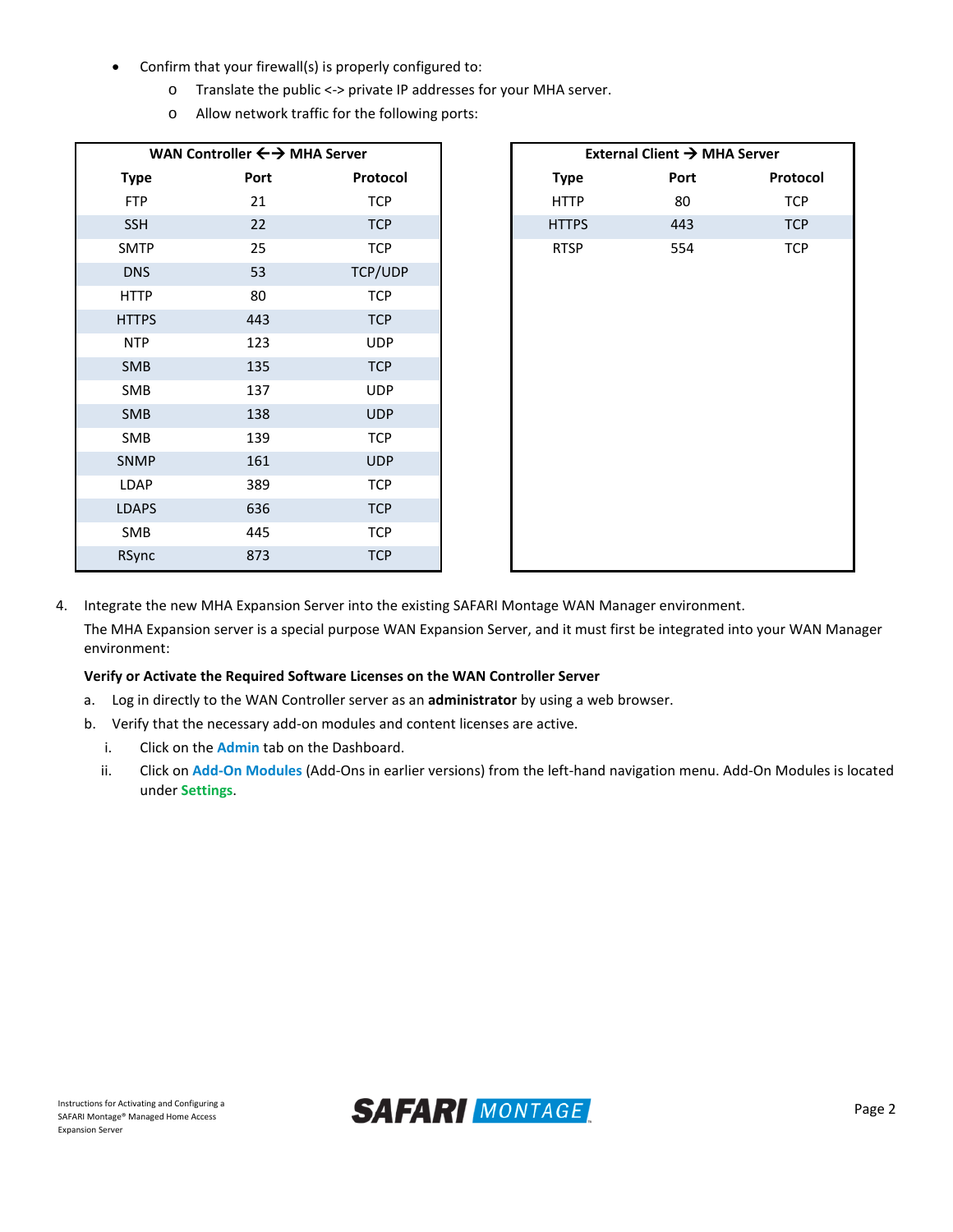- Confirm that your firewall(s) is properly configured to:
	- o Translate the public <-> private IP addresses for your MHA server.
	- o Allow network traffic for the following ports:

| WAN Controller $\leftrightarrow$ MHA Server |      |            |  |
|---------------------------------------------|------|------------|--|
| <b>Type</b>                                 | Port | Protocol   |  |
| <b>FTP</b>                                  | 21   | <b>TCP</b> |  |
| <b>SSH</b>                                  | 22   | <b>TCP</b> |  |
| <b>SMTP</b>                                 | 25   | <b>TCP</b> |  |
| <b>DNS</b>                                  | 53   | TCP/UDP    |  |
| <b>HTTP</b>                                 | 80   | <b>TCP</b> |  |
| <b>HTTPS</b>                                | 443  | <b>TCP</b> |  |
| <b>NTP</b>                                  | 123  | <b>UDP</b> |  |
| SMB                                         | 135  | <b>TCP</b> |  |
| SMB                                         | 137  | <b>UDP</b> |  |
| SMB                                         | 138  | <b>UDP</b> |  |
| SMB                                         | 139  | <b>TCP</b> |  |
| SNMP                                        | 161  | <b>UDP</b> |  |
| LDAP                                        | 389  | <b>TCP</b> |  |
| <b>LDAPS</b>                                | 636  | <b>TCP</b> |  |
| SMB                                         | 445  | <b>TCP</b> |  |
| RSync                                       | 873  | <b>TCP</b> |  |

| External Client → MHA Server |      |            |  |  |  |  |  |
|------------------------------|------|------------|--|--|--|--|--|
| <b>Type</b>                  | Port | Protocol   |  |  |  |  |  |
| <b>HTTP</b>                  | 80   | <b>TCP</b> |  |  |  |  |  |
| <b>HTTPS</b>                 | 443  | <b>TCP</b> |  |  |  |  |  |
| <b>RTSP</b>                  | 554  | <b>TCP</b> |  |  |  |  |  |
|                              |      |            |  |  |  |  |  |
|                              |      |            |  |  |  |  |  |

4. Integrate the new MHA Expansion Server into the existing SAFARI Montage WAN Manager environment.

The MHA Expansion server is a special purpose WAN Expansion Server, and it must first be integrated into your WAN Manager environment:

## **Verify or Activate the Required Software Licenses on the WAN Controller Server**

- a. Log in directly to the WAN Controller server as an **administrator** by using a web browser.
- b. Verify that the necessary add-on modules and content licenses are active.
	- i. Click on the **Admin** tab on the Dashboard.
	- ii. Click on **Add-On Modules** (Add-Ons in earlier versions) from the left-hand navigation menu. Add-On Modules is located under **Settings**.

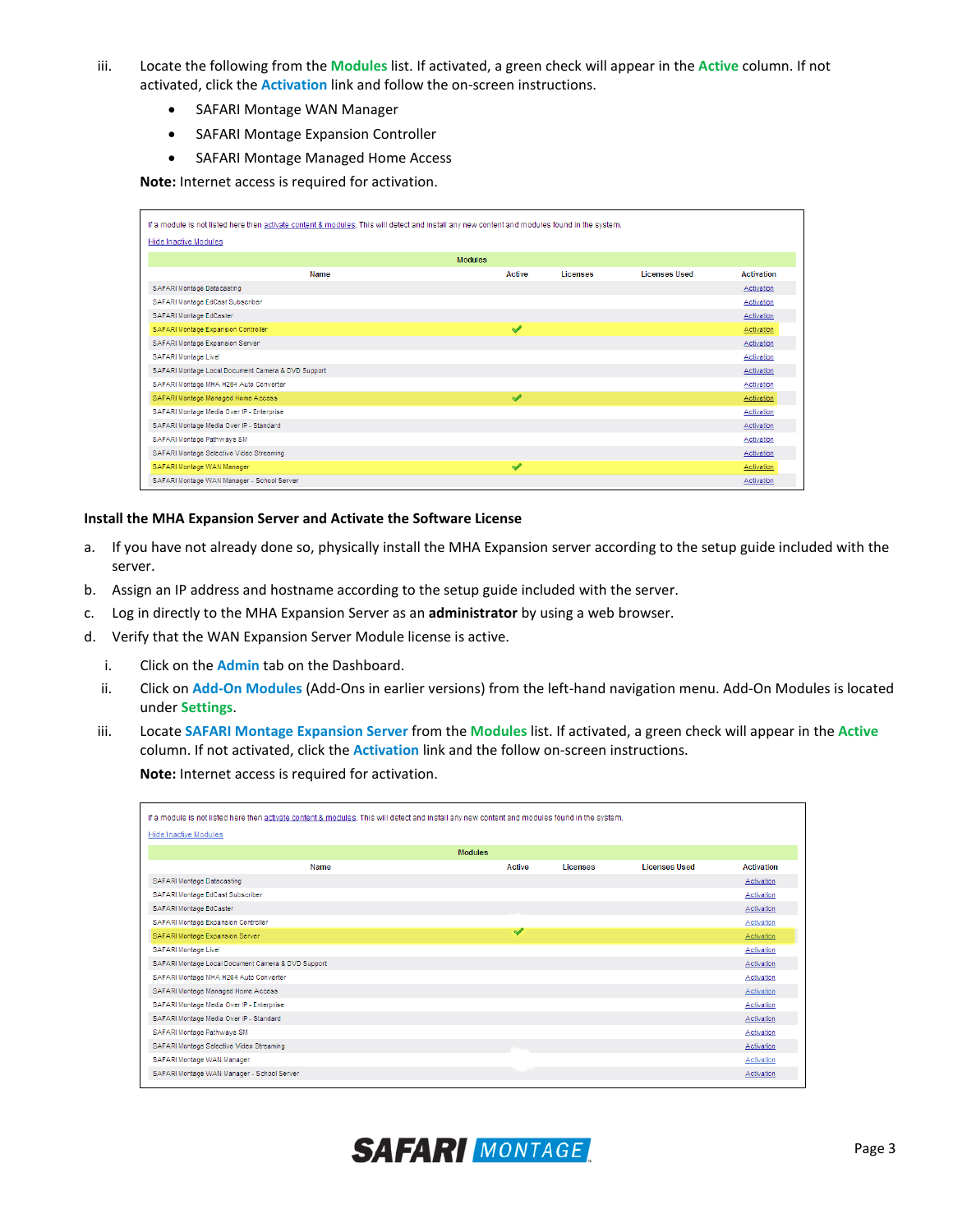- iii. Locate the following from the **Modules** list. If activated, a green check will appear in the **Active** column. If not activated, click the **Activation** link and follow the on-screen instructions.
	- SAFARI Montage WAN Manager
	- SAFARI Montage Expansion Controller
	- SAFARI Montage Managed Home Access

**Note:** Internet access is required for activation.

| If a module is not listed here then activate content & modules. This will detect and install any new content and modules found in the system. |               |          |                      |                   |  |  |
|-----------------------------------------------------------------------------------------------------------------------------------------------|---------------|----------|----------------------|-------------------|--|--|
| <b>Hide Inactive Modules</b>                                                                                                                  |               |          |                      |                   |  |  |
| <b>Modules</b>                                                                                                                                |               |          |                      |                   |  |  |
| Name                                                                                                                                          | <b>Active</b> | Licenses | <b>Licenses Used</b> | <b>Activation</b> |  |  |
| SAFARI Montage Datacasting                                                                                                                    |               |          |                      | Activation        |  |  |
| SAFARI Montage EdCast Subscriber                                                                                                              |               |          |                      | Activation        |  |  |
| SAFARI Montage EdCaster                                                                                                                       |               |          |                      | Activation        |  |  |
| SAFARI Montage Expansion Controller                                                                                                           | ✔             |          |                      | Activation        |  |  |
| SAFARI Montage Expansion Server                                                                                                               |               |          |                      | Activation        |  |  |
| SAFARI Montage Live!                                                                                                                          |               |          |                      | Activation        |  |  |
| SAFARI Montage Local Document Camera & DVD Support                                                                                            |               |          |                      | Activation        |  |  |
| SAFARI Montage MHA H264 Auto Converter                                                                                                        |               |          |                      | Activation        |  |  |
| SAFARI Montage Managed Home Access                                                                                                            | ✔             |          |                      | Activation        |  |  |
| SAFARI Montage Media Over IP - Enterprise                                                                                                     |               |          |                      | Activation        |  |  |
| SAFARI Montage Media Over IP - Standard                                                                                                       |               |          |                      | Activation        |  |  |
| SAFARI Montage Pathways SM                                                                                                                    |               |          |                      | Activation        |  |  |
| SAFARI Montage Selective Video Streaming                                                                                                      |               |          |                      | Activation        |  |  |
| SAFARI Montage WAN Manager                                                                                                                    | ✔             |          |                      | Activation        |  |  |
| SAFARI Montage WAN Manager - School Server                                                                                                    |               |          |                      | Activation        |  |  |

## **Install the MHA Expansion Server and Activate the Software License**

- a. If you have not already done so, physically install the MHA Expansion server according to the setup guide included with the server.
- b. Assign an IP address and hostname according to the setup guide included with the server.
- c. Log in directly to the MHA Expansion Server as an **administrator** by using a web browser.
- d. Verify that the WAN Expansion Server Module license is active.
	- i. Click on the **Admin** tab on the Dashboard.
	- ii. Click on **Add-On Modules** (Add-Ons in earlier versions) from the left-hand navigation menu. Add-On Modules is located under **Settings**.
	- iii. Locate **SAFARI Montage Expansion Server** from the **Modules** list. If activated, a green check will appear in the **Active** column. If not activated, click the **Activation** link and the follow on-screen instructions.

**Note:** Internet access is required for activation.

| If a module is not listed here then activate content & modules. This will detect and install any new content and modules found in the system. |               |          |                      |                   |  |  |
|-----------------------------------------------------------------------------------------------------------------------------------------------|---------------|----------|----------------------|-------------------|--|--|
| <b>Hide Inactive Modules</b>                                                                                                                  |               |          |                      |                   |  |  |
| <b>Modules</b>                                                                                                                                |               |          |                      |                   |  |  |
| <b>Name</b>                                                                                                                                   | <b>Active</b> | Licenses | <b>Licenses Used</b> | <b>Activation</b> |  |  |
| SAFARI Montage Datacasting                                                                                                                    |               |          |                      | Activation        |  |  |
| SAFARI Montage EdCast Subscriber                                                                                                              |               |          |                      | Activation        |  |  |
| SAFARI Montage EdCaster                                                                                                                       |               |          |                      | Activation        |  |  |
| SAFARI Montage Expansion Controller                                                                                                           |               |          |                      | Activation        |  |  |
| SAFARI Montage Expansion Server                                                                                                               | $\checkmark$  |          |                      | Activation        |  |  |
| SAFARI Montage Live!                                                                                                                          |               |          |                      | Activation        |  |  |
| SAFARI Montage Local Document Camera & DVD Support                                                                                            |               |          |                      | Activation        |  |  |
| SAFARI Montage MHA H264 Auto Converter                                                                                                        |               |          |                      | Activation        |  |  |
| SAFARI Montage Managed Home Access                                                                                                            |               |          |                      | Activation        |  |  |
| SAFARI Montage Media Over IP - Enterprise                                                                                                     |               |          |                      | Activation        |  |  |
| SAFARI Montage Media Over IP - Standard                                                                                                       |               |          |                      | Activation        |  |  |
| SAFARI Montage Pathways SM                                                                                                                    |               |          |                      | Activation        |  |  |
| SAFARI Montage Selective Video Streaming                                                                                                      |               |          |                      | Activation        |  |  |
| SAFARI Montage WAN Manager                                                                                                                    |               |          |                      | Activation        |  |  |
| SAFARI Montage WAN Manager - School Server                                                                                                    |               |          |                      | Activation        |  |  |
|                                                                                                                                               |               |          |                      |                   |  |  |

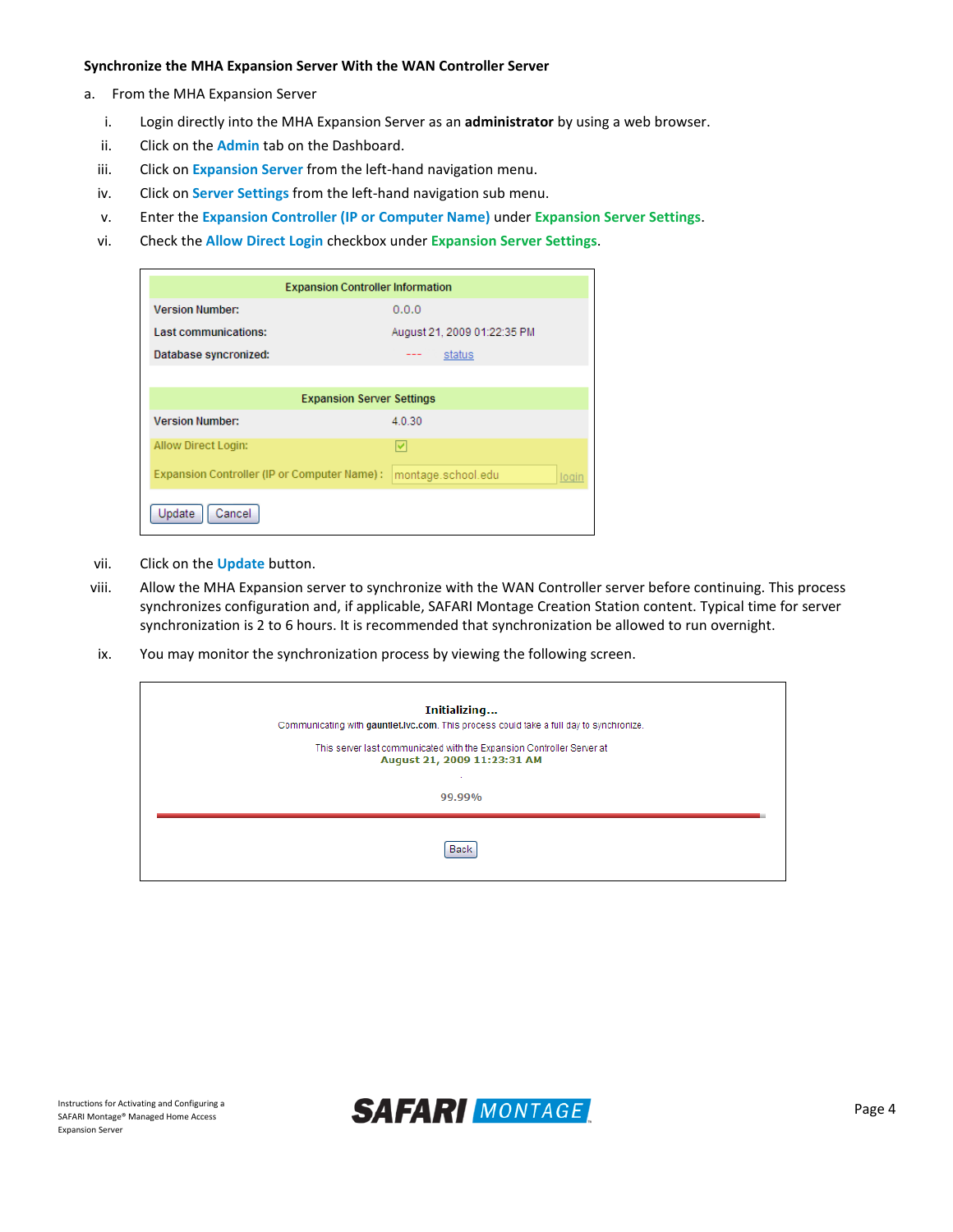#### **Synchronize the MHA Expansion Server With the WAN Controller Server**

- a. From the MHA Expansion Server
	- i. Login directly into the MHA Expansion Server as an **administrator** by using a web browser.
	- ii. Click on the **Admin** tab on the Dashboard.
	- iii. Click on **Expansion Server** from the left-hand navigation menu.
	- iv. Click on **Server Settings** from the left-hand navigation sub menu.
	- v. Enter the **Expansion Controller (IP or Computer Name)** under **Expansion Server Settings**.
	- vi. Check the **Allow Direct Login** checkbox under **Expansion Server Settings**.

| <b>Expansion Controller Information</b>      |                             |  |  |  |  |  |
|----------------------------------------------|-----------------------------|--|--|--|--|--|
| <b>Version Number:</b>                       | 0.0.0                       |  |  |  |  |  |
| Last communications:                         | August 21, 2009 01:22:35 PM |  |  |  |  |  |
| Database syncronized:                        | status<br>---               |  |  |  |  |  |
|                                              |                             |  |  |  |  |  |
| <b>Expansion Server Settings</b>             |                             |  |  |  |  |  |
| <b>Version Number:</b>                       | 4.0.30                      |  |  |  |  |  |
| Allow Direct Login:                          | v                           |  |  |  |  |  |
| Expansion Controller (IP or Computer Name) : | montage.school.edu<br>logir |  |  |  |  |  |
| Update<br>Cancel                             |                             |  |  |  |  |  |

- vii. Click on the **Update** button.
- viii. Allow the MHA Expansion server to synchronize with the WAN Controller server before continuing. This process synchronizes configuration and, if applicable, SAFARI Montage Creation Station content. Typical time for server synchronization is 2 to 6 hours. It is recommended that synchronization be allowed to run overnight.
- ix. You may monitor the synchronization process by viewing the following screen.

| Initializing<br>Communicating with gauntlet.lvc.com. This process could take a full day to synchronize. |                                                                                                                |  |  |  |  |
|---------------------------------------------------------------------------------------------------------|----------------------------------------------------------------------------------------------------------------|--|--|--|--|
|                                                                                                         | This server last communicated with the Expansion Controller Server at<br>August 21, 2009 11:23:31 AM<br>99.99% |  |  |  |  |
|                                                                                                         | Back                                                                                                           |  |  |  |  |

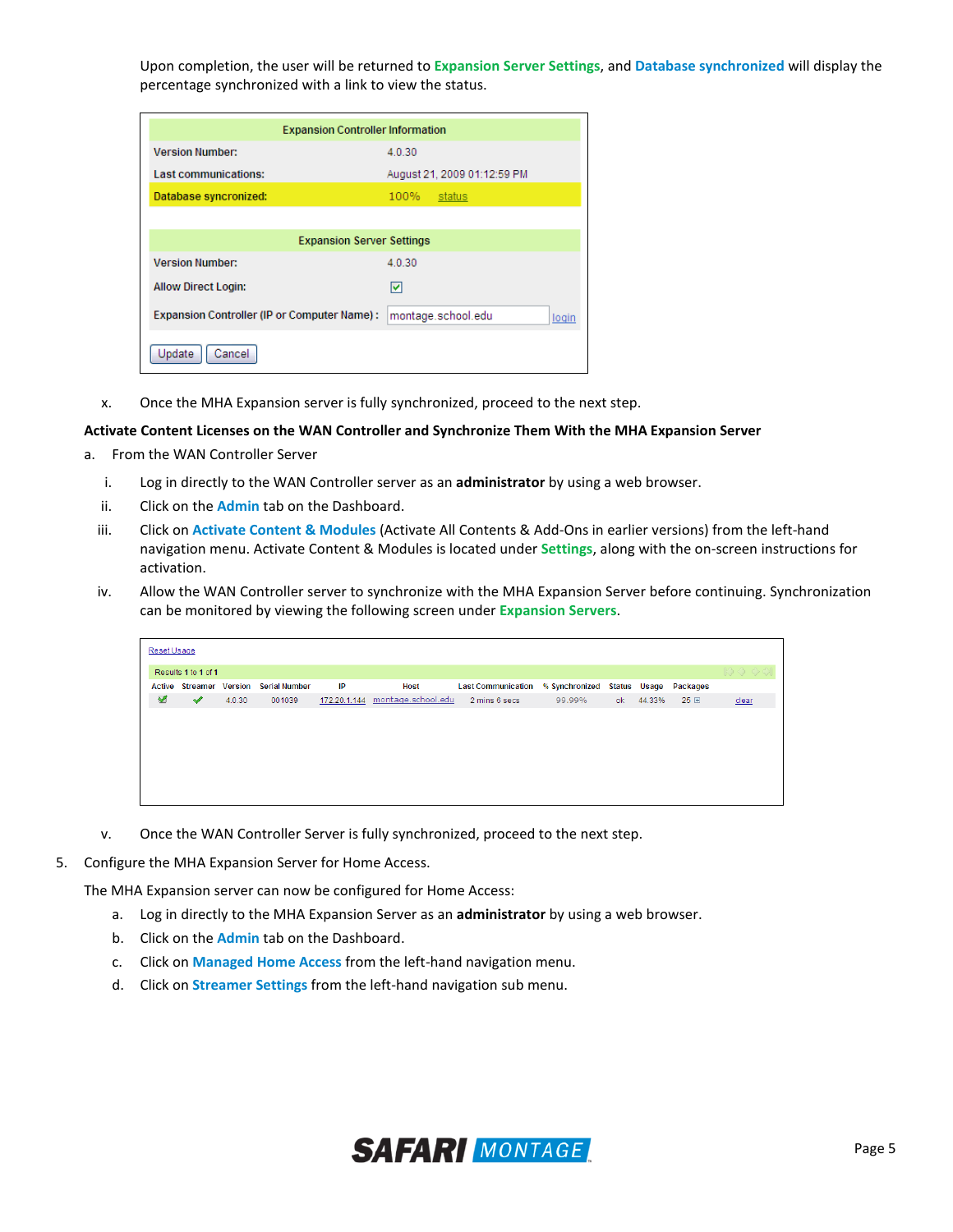Upon completion, the user will be returned to **Expansion Server Settings**, and **Database synchronized** will display the percentage synchronized with a link to view the status.

| <b>Expansion Controller Information</b>      |                             |  |  |  |  |
|----------------------------------------------|-----------------------------|--|--|--|--|
| <b>Version Number:</b>                       | 4.0.30                      |  |  |  |  |
| Last communications:                         | August 21, 2009 01:12:59 PM |  |  |  |  |
| Database syncronized:                        | 100%<br>status              |  |  |  |  |
|                                              |                             |  |  |  |  |
| <b>Expansion Server Settings</b>             |                             |  |  |  |  |
| <b>Version Number:</b>                       | 4.0.30                      |  |  |  |  |
| <b>Allow Direct Login:</b>                   | M                           |  |  |  |  |
| Expansion Controller (IP or Computer Name) : | montage.school.edu<br>login |  |  |  |  |
| Cancel<br>Update                             |                             |  |  |  |  |

x. Once the MHA Expansion server is fully synchronized, proceed to the next step.

#### **Activate Content Licenses on the WAN Controller and Synchronize Them With the MHA Expansion Server**

- a. From the WAN Controller Server
	- i. Log in directly to the WAN Controller server as an **administrator** by using a web browser.
	- ii. Click on the **Admin** tab on the Dashboard.
	- iii. Click on **Activate Content & Modules** (Activate All Contents & Add-Ons in earlier versions) from the left-hand navigation menu. Activate Content & Modules is located under **Settings**, along with the on-screen instructions for activation.
	- iv. Allow the WAN Controller server to synchronize with the MHA Expansion Server before continuing. Synchronization can be monitored by viewing the following screen under **Expansion Servers**.

| Reset Usage |                     |        |                                       |              |                    |                           |                |    |              |          |                                                    |
|-------------|---------------------|--------|---------------------------------------|--------------|--------------------|---------------------------|----------------|----|--------------|----------|----------------------------------------------------|
|             | Results 1 to 1 of 1 |        |                                       |              |                    |                           |                |    |              |          | $\mathbb{R} \diamond \diamond \diamond \mathbb{Q}$ |
|             |                     |        | Active Streamer Version Serial Number | IP           | <b>Host</b>        | <b>Last Communication</b> | % Synchronized |    | Status Usage | Packages |                                                    |
| ◀           | ✔                   | 4.0.30 | 001039                                | 172.20.1.144 | montage.school.edu | 2 mins 6 secs             | 99.99%         | ok | 44.33%       | 25 国     | clear                                              |
|             |                     |        |                                       |              |                    |                           |                |    |              |          |                                                    |
|             |                     |        |                                       |              |                    |                           |                |    |              |          |                                                    |
|             |                     |        |                                       |              |                    |                           |                |    |              |          |                                                    |
|             |                     |        |                                       |              |                    |                           |                |    |              |          |                                                    |
|             |                     |        |                                       |              |                    |                           |                |    |              |          |                                                    |
|             |                     |        |                                       |              |                    |                           |                |    |              |          |                                                    |
|             |                     |        |                                       |              |                    |                           |                |    |              |          |                                                    |

- v. Once the WAN Controller Server is fully synchronized, proceed to the next step.
- 5. Configure the MHA Expansion Server for Home Access.

The MHA Expansion server can now be configured for Home Access:

- a. Log in directly to the MHA Expansion Server as an **administrator** by using a web browser.
- b. Click on the **Admin** tab on the Dashboard.
- c. Click on **Managed Home Access** from the left-hand navigation menu.
- d. Click on **Streamer Settings** from the left-hand navigation sub menu.

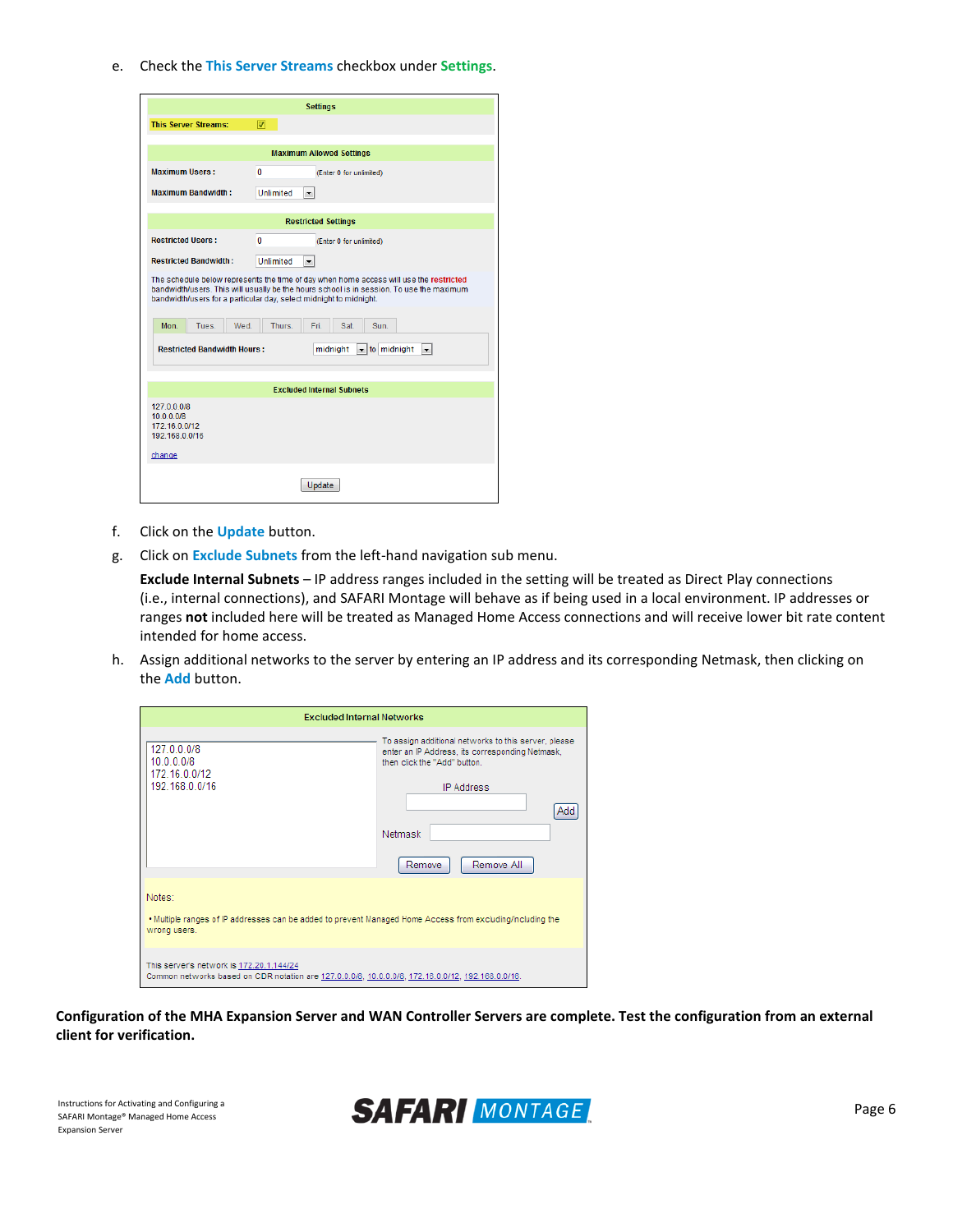e. Check the **This Server Streams** checkbox under **Settings**.

| <b>Settings</b>                                                                                                                                                                                                                                                                                                     |                                          |  |  |  |  |  |
|---------------------------------------------------------------------------------------------------------------------------------------------------------------------------------------------------------------------------------------------------------------------------------------------------------------------|------------------------------------------|--|--|--|--|--|
| <b>This Server Streams:</b>                                                                                                                                                                                                                                                                                         | ⊓                                        |  |  |  |  |  |
|                                                                                                                                                                                                                                                                                                                     |                                          |  |  |  |  |  |
|                                                                                                                                                                                                                                                                                                                     | <b>Maximum Allowed Settings</b>          |  |  |  |  |  |
| <b>Maximum Users:</b>                                                                                                                                                                                                                                                                                               | 0<br>(Enter 0 for unlimited)             |  |  |  |  |  |
| <b>Maximum Bandwidth:</b>                                                                                                                                                                                                                                                                                           | <b>Unlimited</b><br>$\blacktriangledown$ |  |  |  |  |  |
|                                                                                                                                                                                                                                                                                                                     |                                          |  |  |  |  |  |
|                                                                                                                                                                                                                                                                                                                     | <b>Restricted Settings</b>               |  |  |  |  |  |
| <b>Restricted Users:</b>                                                                                                                                                                                                                                                                                            | $\mathbf{0}$<br>(Enter 0 for unlimited)  |  |  |  |  |  |
| <b>Restricted Bandwidth:</b>                                                                                                                                                                                                                                                                                        | <b>Unlimited</b><br>۰                    |  |  |  |  |  |
| The schedule below represents the time of day when home access will use the restricted<br>bandwidth/users. This will usually be the hours school is in session. To use the maximum<br>bandwidth/users for a particular day, select midnight to midnight.<br>Wed.<br>Thurs.<br>Mon.<br>Tues.<br>Fri.<br>Sat.<br>Sun. |                                          |  |  |  |  |  |
| <b>Restricted Bandwidth Hours:</b><br>$\blacktriangleright$ to midnight<br>midnight<br>$\overline{\phantom{a}}$                                                                                                                                                                                                     |                                          |  |  |  |  |  |
|                                                                                                                                                                                                                                                                                                                     | <b>Excluded Internal Subnets</b>         |  |  |  |  |  |
| 127.0.0.0/8<br>10.0.0.0/8<br>172.16.0.0/12<br>192.168.0.0/16<br>change                                                                                                                                                                                                                                              |                                          |  |  |  |  |  |
| Update                                                                                                                                                                                                                                                                                                              |                                          |  |  |  |  |  |

- f. Click on the **Update** button.
- g. Click on **Exclude Subnets** from the left-hand navigation sub menu.

**Exclude Internal Subnets** – IP address ranges included in the setting will be treated as Direct Play connections (i.e., internal connections), and SAFARI Montage will behave as if being used in a local environment. IP addresses or ranges **not** included here will be treated as Managed Home Access connections and will receive lower bit rate content intended for home access.

h. Assign additional networks to the server by entering an IP address and its corresponding Netmask, then clicking on the **Add** button.

| <b>Excluded Internal Networks</b>                                                                                                              |                                                                                                                                                                                                        |  |  |  |  |
|------------------------------------------------------------------------------------------------------------------------------------------------|--------------------------------------------------------------------------------------------------------------------------------------------------------------------------------------------------------|--|--|--|--|
| 127.0.0.0/8<br>10.0.0.0/8<br>172.16.0.0/12<br>192.168.0.0/16                                                                                   | To assign additional networks to this server, please<br>enter an IP Address, its corresponding Netmask,<br>then click the "Add" button.<br><b>IP Address</b><br>Add<br>Netmask<br>Remove All<br>Remove |  |  |  |  |
| Notes:<br>. Multiple ranges of IP addresses can be added to prevent Managed Home Access from excluding/including the<br>wrong users.           |                                                                                                                                                                                                        |  |  |  |  |
| This server's network is 172.20.1.144/24<br>Common networks based on CIDR notation are 127.0.0.0/8, 10.0.0.0/8, 172.16.0.0/12, 192.168.0.0/16. |                                                                                                                                                                                                        |  |  |  |  |

**Configuration of the MHA Expansion Server and WAN Controller Servers are complete. Test the configuration from an external client for verification.**

SAFARI Montage® Managed Home Access Expansion Server

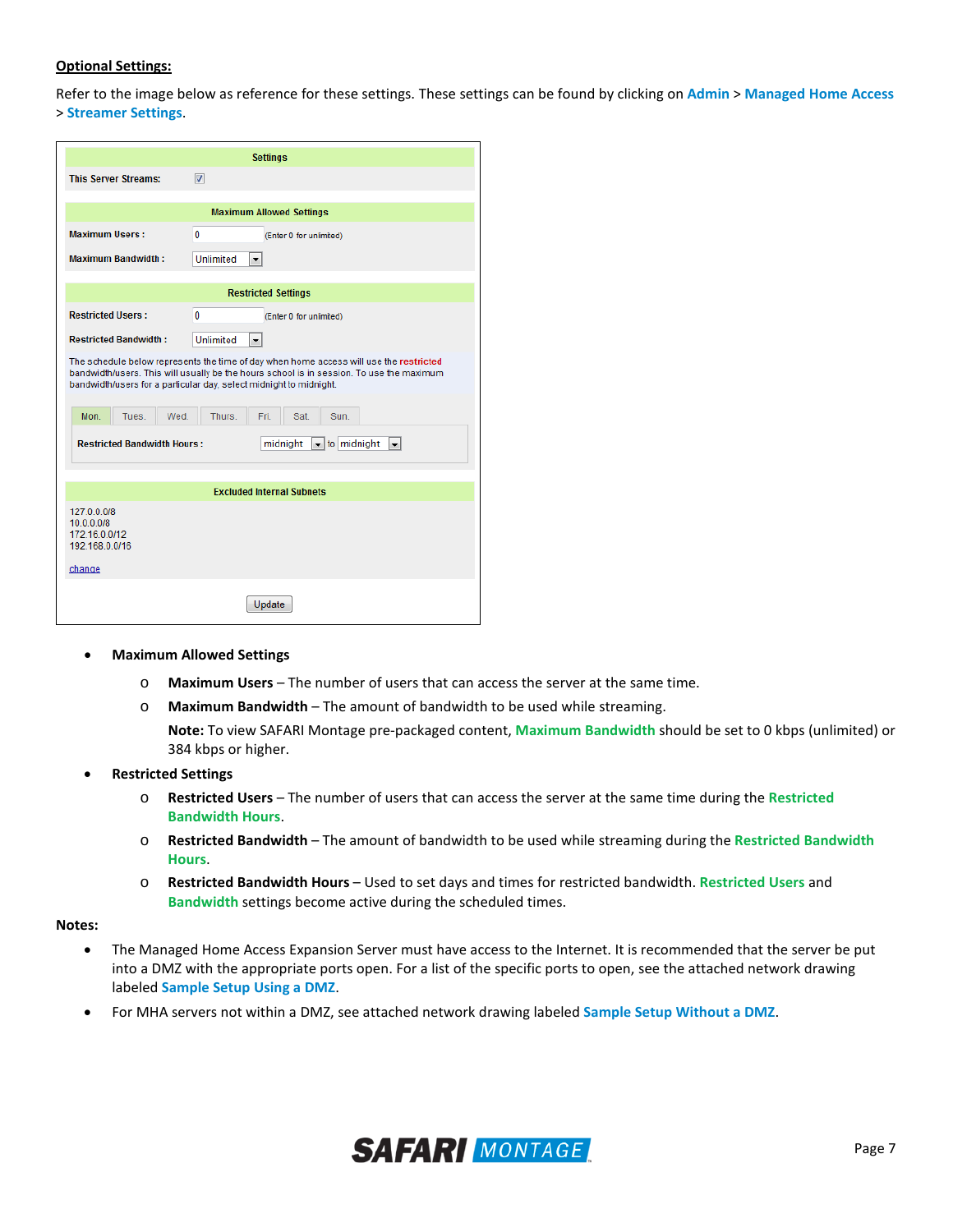## **Optional Settings:**

Refer to the image below as reference for these settings. These settings can be found by clicking on **Admin** > **Managed Home Access** > **Streamer Settings**.

| <b>Settings</b>                                                                                                                                                                                                                                          |      |  |  |  |  |  |
|----------------------------------------------------------------------------------------------------------------------------------------------------------------------------------------------------------------------------------------------------------|------|--|--|--|--|--|
| <b>This Server Streams:</b><br>$\overline{\mathbf{v}}$                                                                                                                                                                                                   |      |  |  |  |  |  |
|                                                                                                                                                                                                                                                          |      |  |  |  |  |  |
| <b>Maximum Allowed Settings</b>                                                                                                                                                                                                                          |      |  |  |  |  |  |
| <b>Maximum Users:</b><br>0<br>(Enter 0 for unlimited)                                                                                                                                                                                                    |      |  |  |  |  |  |
| <b>Maximum Bandwidth:</b><br>Unlimited<br>$\overline{\phantom{a}}$                                                                                                                                                                                       |      |  |  |  |  |  |
|                                                                                                                                                                                                                                                          |      |  |  |  |  |  |
| <b>Restricted Settings</b>                                                                                                                                                                                                                               |      |  |  |  |  |  |
| <b>Restricted Users:</b><br>$\mathbf{0}$<br>(Enter 0 for unlimited)                                                                                                                                                                                      |      |  |  |  |  |  |
| <b>Restricted Bandwidth:</b><br><b>Unlimited</b><br>۰                                                                                                                                                                                                    |      |  |  |  |  |  |
| The schedule below represents the time of day when home access will use the restricted<br>bandwidth/users. This will usually be the hours school is in session. To use the maximum<br>bandwidth/users for a particular day, select midnight to midnight. |      |  |  |  |  |  |
| Mon.<br>Tues.<br>Wed.<br>Thurs.<br>Fri.<br>Sat.                                                                                                                                                                                                          | Sun. |  |  |  |  |  |
| <b>Restricted Bandwidth Hours:</b><br>$\blacktriangleright$ to midnight<br>midnight<br>v.                                                                                                                                                                |      |  |  |  |  |  |
| <b>Excluded Internal Subnets</b>                                                                                                                                                                                                                         |      |  |  |  |  |  |
| 127.0.0.0/8<br>10.0.0.0/8<br>172.16.0.0/12<br>192.168.0.0/16                                                                                                                                                                                             |      |  |  |  |  |  |
| change                                                                                                                                                                                                                                                   |      |  |  |  |  |  |
| Update                                                                                                                                                                                                                                                   |      |  |  |  |  |  |

- **Maximum Allowed Settings**
	- o **Maximum Users**  The number of users that can access the server at the same time.
	- o **Maximum Bandwidth**  The amount of bandwidth to be used while streaming.

**Note:** To view SAFARI Montage pre-packaged content, **Maximum Bandwidth** should be set to 0 kbps (unlimited) or 384 kbps or higher.

- **Restricted Settings**
	- o **Restricted Users**  The number of users that can access the server at the same time during the **Restricted Bandwidth Hours**.
	- o **Restricted Bandwidth**  The amount of bandwidth to be used while streaming during the **Restricted Bandwidth Hours**.
	- o **Restricted Bandwidth Hours**  Used to set days and times for restricted bandwidth. **Restricted Users** and **Bandwidth** settings become active during the scheduled times.

**Notes:**

- The Managed Home Access Expansion Server must have access to the Internet. It is recommended that the server be put into a DMZ with the appropriate ports open. For a list of the specific ports to open, see the attached network drawing labeled **Sample Setup Using a DMZ**.
- For MHA servers not within a DMZ, see attached network drawing labeled **Sample Setup Without a DMZ**.